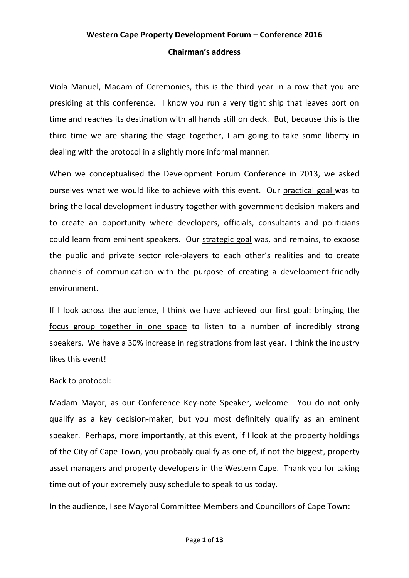# **Western Cape Property Development Forum – Conference 2016 Chairman's address**

Viola Manuel, Madam of Ceremonies, this is the third year in a row that you are presiding at this conference. I know you run a very tight ship that leaves port on time and reaches its destination with all hands still on deck. But, because this is the third time we are sharing the stage together, I am going to take some liberty in dealing with the protocol in a slightly more informal manner.

When we conceptualised the Development Forum Conference in 2013, we asked ourselves what we would like to achieve with this event. Our practical goal was to bring the local development industry together with government decision makers and to create an opportunity where developers, officials, consultants and politicians could learn from eminent speakers. Our strategic goal was, and remains, to expose the public and private sector role-players to each other's realities and to create channels of communication with the purpose of creating a development-friendly environment.

If I look across the audience, I think we have achieved our first goal: bringing the focus group together in one space to listen to a number of incredibly strong speakers. We have a 30% increase in registrations from last year. I think the industry likes this event!

### Back to protocol:

Madam Mayor, as our Conference Key-note Speaker, welcome. You do not only qualify as a key decision-maker, but you most definitely qualify as an eminent speaker. Perhaps, more importantly, at this event, if I look at the property holdings of the City of Cape Town, you probably qualify as one of, if not the biggest, property asset managers and property developers in the Western Cape. Thank you for taking time out of your extremely busy schedule to speak to us today.

In the audience, I see Mayoral Committee Members and Councillors of Cape Town: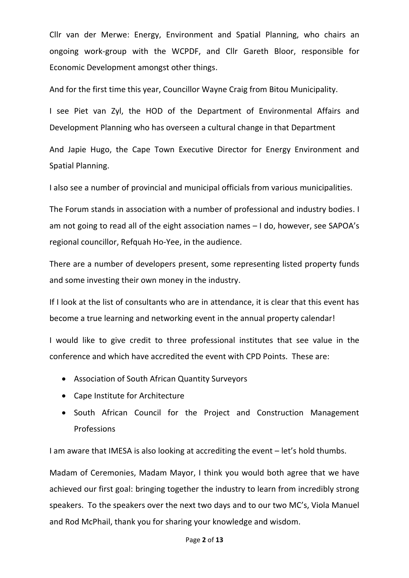Cllr van der Merwe: Energy, Environment and Spatial Planning, who chairs an ongoing work-group with the WCPDF, and Cllr Gareth Bloor, responsible for Economic Development amongst other things.

And for the first time this year, Councillor Wayne Craig from Bitou Municipality.

I see Piet van Zyl, the HOD of the Department of Environmental Affairs and Development Planning who has overseen a cultural change in that Department

And Japie Hugo, the Cape Town Executive Director for Energy Environment and Spatial Planning.

I also see a number of provincial and municipal officials from various municipalities.

The Forum stands in association with a number of professional and industry bodies. I am not going to read all of the eight association names – I do, however, see SAPOA's regional councillor, Refquah Ho-Yee, in the audience.

There are a number of developers present, some representing listed property funds and some investing their own money in the industry.

If I look at the list of consultants who are in attendance, it is clear that this event has become a true learning and networking event in the annual property calendar!

I would like to give credit to three professional institutes that see value in the conference and which have accredited the event with CPD Points. These are:

- Association of South African Quantity Surveyors
- Cape Institute for Architecture
- South African Council for the Project and Construction Management Professions

I am aware that IMESA is also looking at accrediting the event – let's hold thumbs.

Madam of Ceremonies, Madam Mayor, I think you would both agree that we have achieved our first goal: bringing together the industry to learn from incredibly strong speakers. To the speakers over the next two days and to our two MC's, Viola Manuel and Rod McPhail, thank you for sharing your knowledge and wisdom.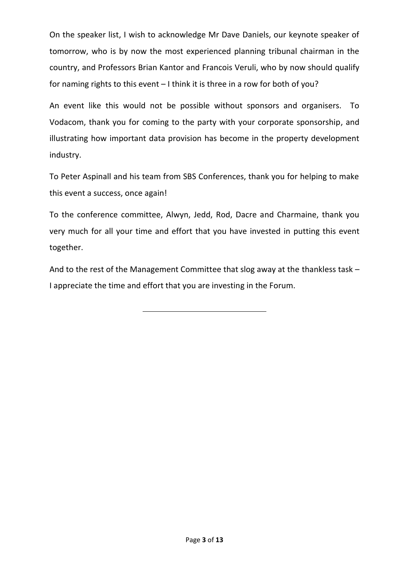On the speaker list, I wish to acknowledge Mr Dave Daniels, our keynote speaker of tomorrow, who is by now the most experienced planning tribunal chairman in the country, and Professors Brian Kantor and Francois Veruli, who by now should qualify for naming rights to this event – I think it is three in a row for both of you?

An event like this would not be possible without sponsors and organisers. To Vodacom, thank you for coming to the party with your corporate sponsorship, and illustrating how important data provision has become in the property development industry.

To Peter Aspinall and his team from SBS Conferences, thank you for helping to make this event a success, once again!

To the conference committee, Alwyn, Jedd, Rod, Dacre and Charmaine, thank you very much for all your time and effort that you have invested in putting this event together.

And to the rest of the Management Committee that slog away at the thankless task – I appreciate the time and effort that you are investing in the Forum.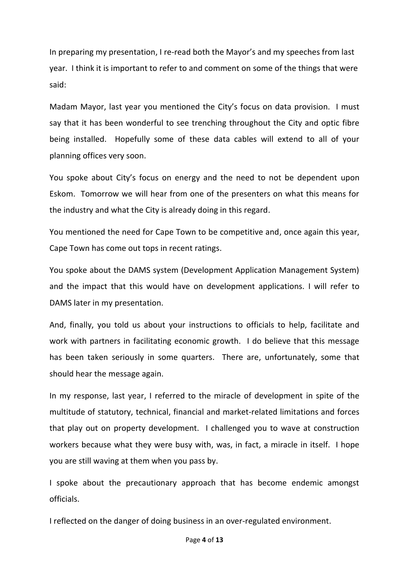In preparing my presentation, I re-read both the Mayor's and my speeches from last year. I think it is important to refer to and comment on some of the things that were said:

Madam Mayor, last year you mentioned the City's focus on data provision. I must say that it has been wonderful to see trenching throughout the City and optic fibre being installed. Hopefully some of these data cables will extend to all of your planning offices very soon.

You spoke about City's focus on energy and the need to not be dependent upon Eskom. Tomorrow we will hear from one of the presenters on what this means for the industry and what the City is already doing in this regard.

You mentioned the need for Cape Town to be competitive and, once again this year, Cape Town has come out tops in recent ratings.

You spoke about the DAMS system (Development Application Management System) and the impact that this would have on development applications. I will refer to DAMS later in my presentation.

And, finally, you told us about your instructions to officials to help, facilitate and work with partners in facilitating economic growth. I do believe that this message has been taken seriously in some quarters. There are, unfortunately, some that should hear the message again.

In my response, last year, I referred to the miracle of development in spite of the multitude of statutory, technical, financial and market-related limitations and forces that play out on property development. I challenged you to wave at construction workers because what they were busy with, was, in fact, a miracle in itself. I hope you are still waving at them when you pass by.

I spoke about the precautionary approach that has become endemic amongst officials.

I reflected on the danger of doing business in an over-regulated environment.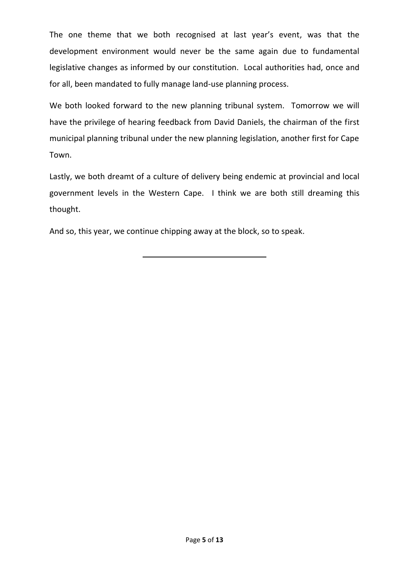The one theme that we both recognised at last year's event, was that the development environment would never be the same again due to fundamental legislative changes as informed by our constitution. Local authorities had, once and for all, been mandated to fully manage land-use planning process.

We both looked forward to the new planning tribunal system. Tomorrow we will have the privilege of hearing feedback from David Daniels, the chairman of the first municipal planning tribunal under the new planning legislation, another first for Cape Town.

Lastly, we both dreamt of a culture of delivery being endemic at provincial and local government levels in the Western Cape. I think we are both still dreaming this thought.

And so, this year, we continue chipping away at the block, so to speak.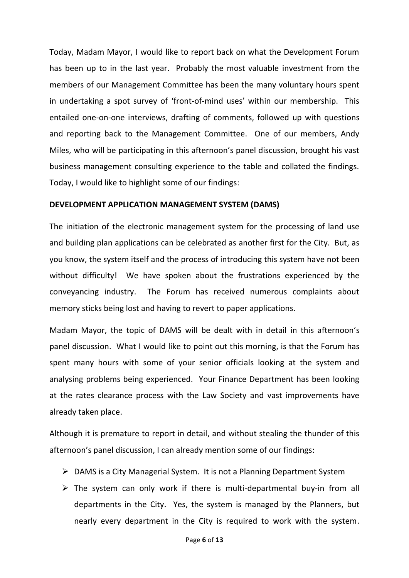Today, Madam Mayor, I would like to report back on what the Development Forum has been up to in the last year. Probably the most valuable investment from the members of our Management Committee has been the many voluntary hours spent in undertaking a spot survey of 'front-of-mind uses' within our membership. This entailed one-on-one interviews, drafting of comments, followed up with questions and reporting back to the Management Committee. One of our members, Andy Miles, who will be participating in this afternoon's panel discussion, brought his vast business management consulting experience to the table and collated the findings. Today, I would like to highlight some of our findings:

#### **DEVELOPMENT APPLICATION MANAGEMENT SYSTEM (DAMS)**

The initiation of the electronic management system for the processing of land use and building plan applications can be celebrated as another first for the City. But, as you know, the system itself and the process of introducing this system have not been without difficulty! We have spoken about the frustrations experienced by the conveyancing industry. The Forum has received numerous complaints about memory sticks being lost and having to revert to paper applications.

Madam Mayor, the topic of DAMS will be dealt with in detail in this afternoon's panel discussion. What I would like to point out this morning, is that the Forum has spent many hours with some of your senior officials looking at the system and analysing problems being experienced. Your Finance Department has been looking at the rates clearance process with the Law Society and vast improvements have already taken place.

Although it is premature to report in detail, and without stealing the thunder of this afternoon's panel discussion, I can already mention some of our findings:

- DAMS is a City Managerial System. It is not a Planning Department System
- $\triangleright$  The system can only work if there is multi-departmental buy-in from all departments in the City. Yes, the system is managed by the Planners, but nearly every department in the City is required to work with the system.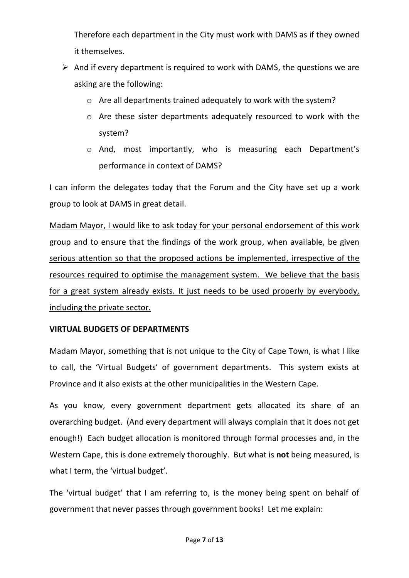Therefore each department in the City must work with DAMS as if they owned it themselves.

- $\triangleright$  And if every department is required to work with DAMS, the questions we are asking are the following:
	- o Are all departments trained adequately to work with the system?
	- o Are these sister departments adequately resourced to work with the system?
	- o And, most importantly, who is measuring each Department's performance in context of DAMS?

I can inform the delegates today that the Forum and the City have set up a work group to look at DAMS in great detail.

Madam Mayor, I would like to ask today for your personal endorsement of this work group and to ensure that the findings of the work group, when available, be given serious attention so that the proposed actions be implemented, irrespective of the resources required to optimise the management system. We believe that the basis for a great system already exists. It just needs to be used properly by everybody, including the private sector.

## **VIRTUAL BUDGETS OF DEPARTMENTS**

Madam Mayor, something that is not unique to the City of Cape Town, is what I like to call, the 'Virtual Budgets' of government departments. This system exists at Province and it also exists at the other municipalities in the Western Cape.

As you know, every government department gets allocated its share of an overarching budget. (And every department will always complain that it does not get enough!) Each budget allocation is monitored through formal processes and, in the Western Cape, this is done extremely thoroughly. But what is **not** being measured, is what I term, the 'virtual budget'.

The 'virtual budget' that I am referring to, is the money being spent on behalf of government that never passes through government books! Let me explain: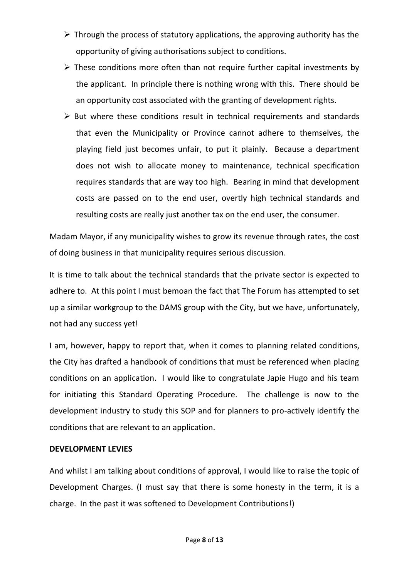- $\triangleright$  Through the process of statutory applications, the approving authority has the opportunity of giving authorisations subject to conditions.
- $\triangleright$  These conditions more often than not require further capital investments by the applicant. In principle there is nothing wrong with this. There should be an opportunity cost associated with the granting of development rights.
- $\triangleright$  But where these conditions result in technical requirements and standards that even the Municipality or Province cannot adhere to themselves, the playing field just becomes unfair, to put it plainly. Because a department does not wish to allocate money to maintenance, technical specification requires standards that are way too high. Bearing in mind that development costs are passed on to the end user, overtly high technical standards and resulting costs are really just another tax on the end user, the consumer.

Madam Mayor, if any municipality wishes to grow its revenue through rates, the cost of doing business in that municipality requires serious discussion.

It is time to talk about the technical standards that the private sector is expected to adhere to. At this point I must bemoan the fact that The Forum has attempted to set up a similar workgroup to the DAMS group with the City, but we have, unfortunately, not had any success yet!

I am, however, happy to report that, when it comes to planning related conditions, the City has drafted a handbook of conditions that must be referenced when placing conditions on an application. I would like to congratulate Japie Hugo and his team for initiating this Standard Operating Procedure. The challenge is now to the development industry to study this SOP and for planners to pro-actively identify the conditions that are relevant to an application.

### **DEVELOPMENT LEVIES**

And whilst I am talking about conditions of approval, I would like to raise the topic of Development Charges. (I must say that there is some honesty in the term, it is a charge. In the past it was softened to Development Contributions!)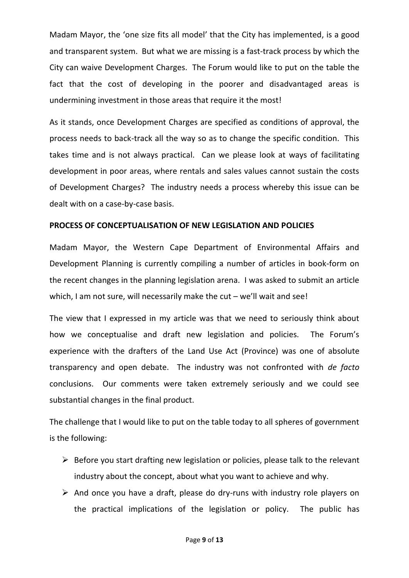Madam Mayor, the 'one size fits all model' that the City has implemented, is a good and transparent system. But what we are missing is a fast-track process by which the City can waive Development Charges. The Forum would like to put on the table the fact that the cost of developing in the poorer and disadvantaged areas is undermining investment in those areas that require it the most!

As it stands, once Development Charges are specified as conditions of approval, the process needs to back-track all the way so as to change the specific condition. This takes time and is not always practical. Can we please look at ways of facilitating development in poor areas, where rentals and sales values cannot sustain the costs of Development Charges? The industry needs a process whereby this issue can be dealt with on a case-by-case basis.

### **PROCESS OF CONCEPTUALISATION OF NEW LEGISLATION AND POLICIES**

Madam Mayor, the Western Cape Department of Environmental Affairs and Development Planning is currently compiling a number of articles in book-form on the recent changes in the planning legislation arena. I was asked to submit an article which, I am not sure, will necessarily make the cut – we'll wait and see!

The view that I expressed in my article was that we need to seriously think about how we conceptualise and draft new legislation and policies. The Forum's experience with the drafters of the Land Use Act (Province) was one of absolute transparency and open debate. The industry was not confronted with *de facto*  conclusions. Our comments were taken extremely seriously and we could see substantial changes in the final product.

The challenge that I would like to put on the table today to all spheres of government is the following:

- $\triangleright$  Before you start drafting new legislation or policies, please talk to the relevant industry about the concept, about what you want to achieve and why.
- $\triangleright$  And once you have a draft, please do dry-runs with industry role players on the practical implications of the legislation or policy. The public has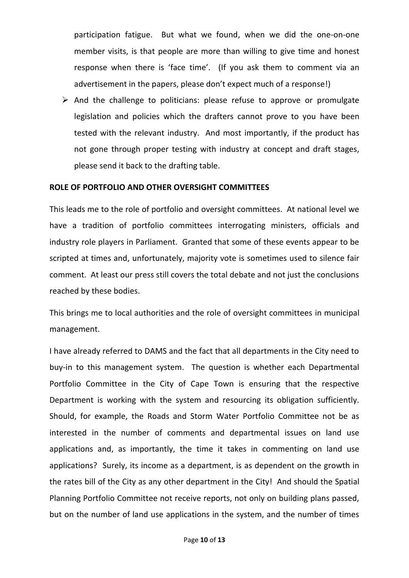participation fatigue. But what we found, when we did the one-on-one member visits, is that people are more than willing to give time and honest response when there is 'face time'. (If you ask them to comment via an advertisement in the papers, please don't expect much of a response!)

 $\triangleright$  And the challenge to politicians: please refuse to approve or promulgate legislation and policies which the drafters cannot prove to you have been tested with the relevant industry. And most importantly, if the product has not gone through proper testing with industry at concept and draft stages, please send it back to the drafting table.

#### **ROLE OF PORTFOLIO AND OTHER OVERSIGHT COMMITTEES**

This leads me to the role of portfolio and oversight committees. At national level we have a tradition of portfolio committees interrogating ministers, officials and industry role players in Parliament. Granted that some of these events appear to be scripted at times and, unfortunately, majority vote is sometimes used to silence fair comment. At least our press still covers the total debate and not just the conclusions reached by these bodies.

This brings me to local authorities and the role of oversight committees in municipal management.

I have already referred to DAMS and the fact that all departments in the City need to buy-in to this management system. The question is whether each Departmental Portfolio Committee in the City of Cape Town is ensuring that the respective Department is working with the system and resourcing its obligation sufficiently. Should, for example, the Roads and Storm Water Portfolio Committee not be as interested in the number of comments and departmental issues on land use applications and, as importantly, the time it takes in commenting on land use applications? Surely, its income as a department, is as dependent on the growth in the rates bill of the City as any other department in the City! And should the Spatial Planning Portfolio Committee not receive reports, not only on building plans passed, but on the number of land use applications in the system, and the number of times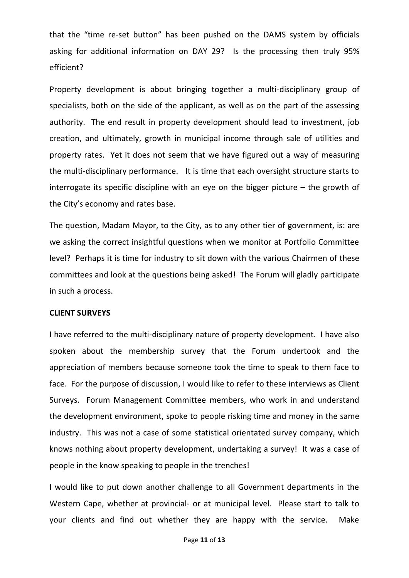that the "time re-set button" has been pushed on the DAMS system by officials asking for additional information on DAY 29? Is the processing then truly 95% efficient?

Property development is about bringing together a multi-disciplinary group of specialists, both on the side of the applicant, as well as on the part of the assessing authority. The end result in property development should lead to investment, job creation, and ultimately, growth in municipal income through sale of utilities and property rates. Yet it does not seem that we have figured out a way of measuring the multi-disciplinary performance. It is time that each oversight structure starts to interrogate its specific discipline with an eye on the bigger picture – the growth of the City's economy and rates base.

The question, Madam Mayor, to the City, as to any other tier of government, is: are we asking the correct insightful questions when we monitor at Portfolio Committee level? Perhaps it is time for industry to sit down with the various Chairmen of these committees and look at the questions being asked! The Forum will gladly participate in such a process.

#### **CLIENT SURVEYS**

I have referred to the multi-disciplinary nature of property development. I have also spoken about the membership survey that the Forum undertook and the appreciation of members because someone took the time to speak to them face to face. For the purpose of discussion, I would like to refer to these interviews as Client Surveys. Forum Management Committee members, who work in and understand the development environment, spoke to people risking time and money in the same industry. This was not a case of some statistical orientated survey company, which knows nothing about property development, undertaking a survey! It was a case of people in the know speaking to people in the trenches!

I would like to put down another challenge to all Government departments in the Western Cape, whether at provincial- or at municipal level. Please start to talk to your clients and find out whether they are happy with the service. Make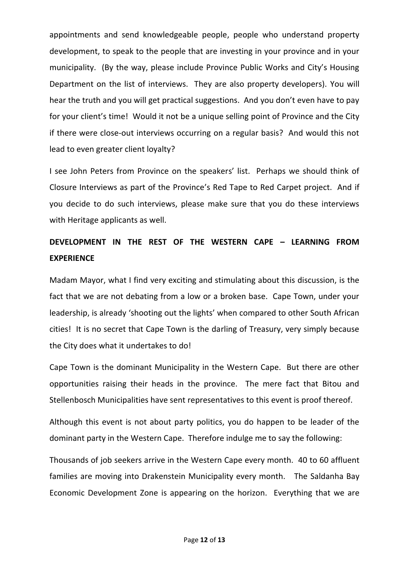appointments and send knowledgeable people, people who understand property development, to speak to the people that are investing in your province and in your municipality. (By the way, please include Province Public Works and City's Housing Department on the list of interviews. They are also property developers). You will hear the truth and you will get practical suggestions. And you don't even have to pay for your client's time! Would it not be a unique selling point of Province and the City if there were close-out interviews occurring on a regular basis? And would this not lead to even greater client loyalty?

I see John Peters from Province on the speakers' list. Perhaps we should think of Closure Interviews as part of the Province's Red Tape to Red Carpet project. And if you decide to do such interviews, please make sure that you do these interviews with Heritage applicants as well.

# **DEVELOPMENT IN THE REST OF THE WESTERN CAPE – LEARNING FROM EXPERIENCE**

Madam Mayor, what I find very exciting and stimulating about this discussion, is the fact that we are not debating from a low or a broken base. Cape Town, under your leadership, is already 'shooting out the lights' when compared to other South African cities! It is no secret that Cape Town is the darling of Treasury, very simply because the City does what it undertakes to do!

Cape Town is the dominant Municipality in the Western Cape. But there are other opportunities raising their heads in the province. The mere fact that Bitou and Stellenbosch Municipalities have sent representatives to this event is proof thereof.

Although this event is not about party politics, you do happen to be leader of the dominant party in the Western Cape. Therefore indulge me to say the following:

Thousands of job seekers arrive in the Western Cape every month. 40 to 60 affluent families are moving into Drakenstein Municipality every month. The Saldanha Bay Economic Development Zone is appearing on the horizon. Everything that we are